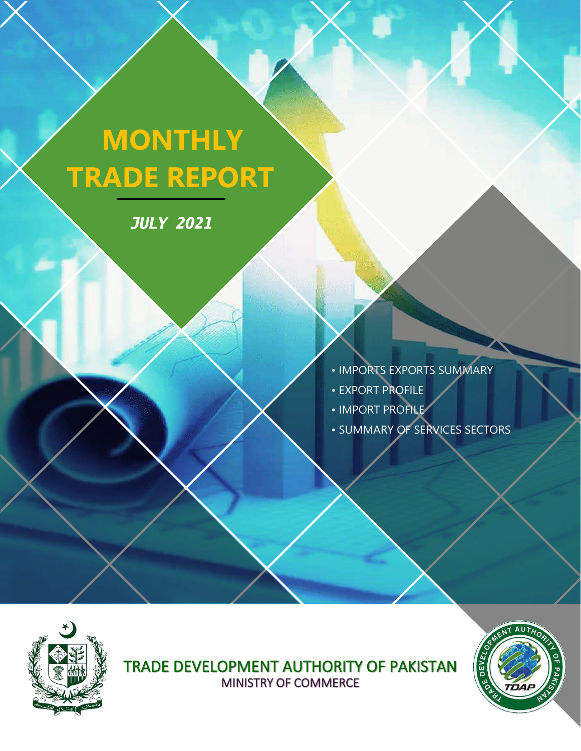# **MONTHLY TRADE REPORT**

*JULY 2021* 



- EXPORT PROFILE
- IMPORT PROFILE
- SUMMARY OF SERVICES SECTORS



TRADE DEVELOPMENT AUTHORITY OF PAKISTAN MINISTRY OF COMMERCE

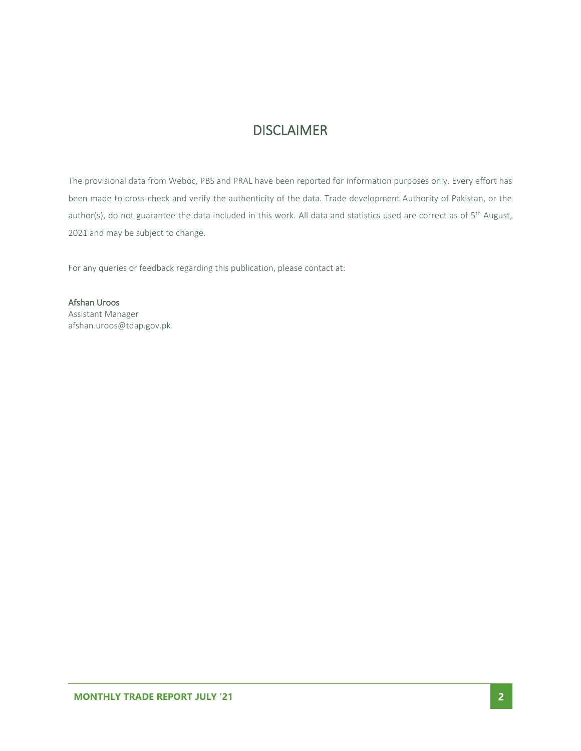### **DISCLAIMER**

The provisional data from Weboc, PBS and PRAL have been reported for information purposes only. Every effort has been made to cross-check and verify the authenticity of the data. Trade development Authority of Pakistan, or the author(s), do not guarantee the data included in this work. All data and statistics used are correct as of 5<sup>th</sup> August, 2021 and may be subject to change.

For any queries or feedback regarding this publication, please contact at:

Afshan Uroos Assistant Manager afshan.uroos@tdap.gov.pk.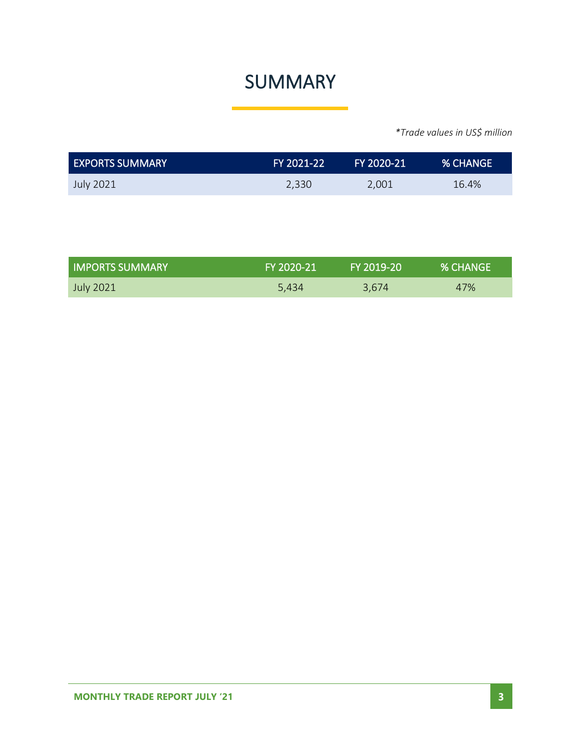## SUMMARY

| <b>EXPORTS SUMMARY</b> | ا FY 2021-22 | FY 2020-21 | <b>% CHANGE</b> |
|------------------------|--------------|------------|-----------------|
| July 2021              | 2,330        | 2,001      | 16.4%           |

| <b>I IMPORTS SUMMARY</b> | FY 2020-21 | FY 2019-20 | <b>% CHANGE</b> |
|--------------------------|------------|------------|-----------------|
| July 2021                | 5.434      | 3.674      | 47%             |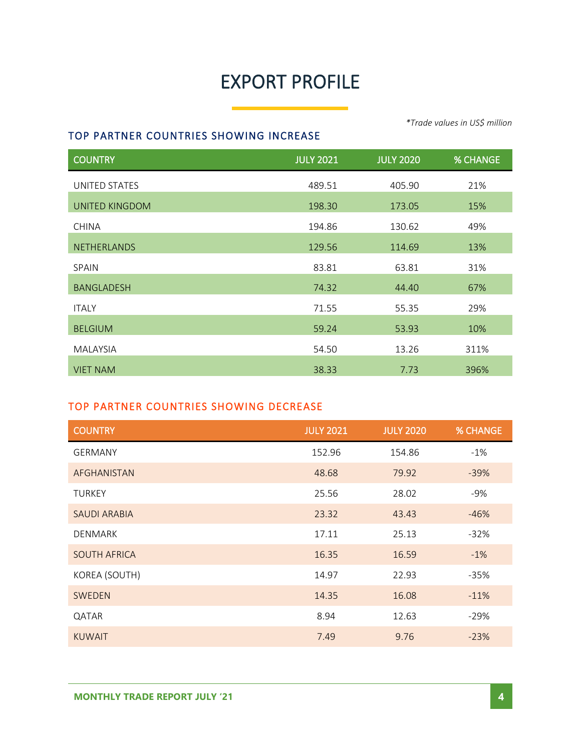# EXPORT PROFILE

#### TOP PARTNER COUNTRIES SHOWING INCREASE

COUNTRY JULY 2021 JULY 2020 % CHANGE UNITED STATES 21% UNITED KINGDOM 15% 198.30 173.05 15% CHINA 194.86 130.62 49% NETHERLANDS 129.56 114.69 13% SPAIN 63.81 63.81 63.81 BANGLADESH 67% 67% ITALY 71.55 55.35 29% BELGIUM 59.24 53.93 10% MALAYSIA 54.50 13.26 311% VIET NAM 38.33 7.73 396%

#### TOP PARTNER COUNTRIES SHOWING DECREASE

| <b>COUNTRY</b>      | <b>JULY 2021</b> | <b>JULY 2020</b> | <b>% CHANGE</b> |
|---------------------|------------------|------------------|-----------------|
| <b>GERMANY</b>      | 152.96           | 154.86           | $-1%$           |
| AFGHANISTAN         | 48.68            | 79.92            | $-39%$          |
| <b>TURKEY</b>       | 25.56            | 28.02            | $-9%$           |
| <b>SAUDI ARABIA</b> | 23.32            | 43.43            | $-46%$          |
| <b>DENMARK</b>      | 17.11            | 25.13            | $-32%$          |
| <b>SOUTH AFRICA</b> | 16.35            | 16.59            | $-1%$           |
| KOREA (SOUTH)       | 14.97            | 22.93            | $-35%$          |
| <b>SWEDEN</b>       | 14.35            | 16.08            | $-11%$          |
| QATAR               | 8.94             | 12.63            | $-29%$          |
| <b>KUWAIT</b>       | 7.49             | 9.76             | $-23%$          |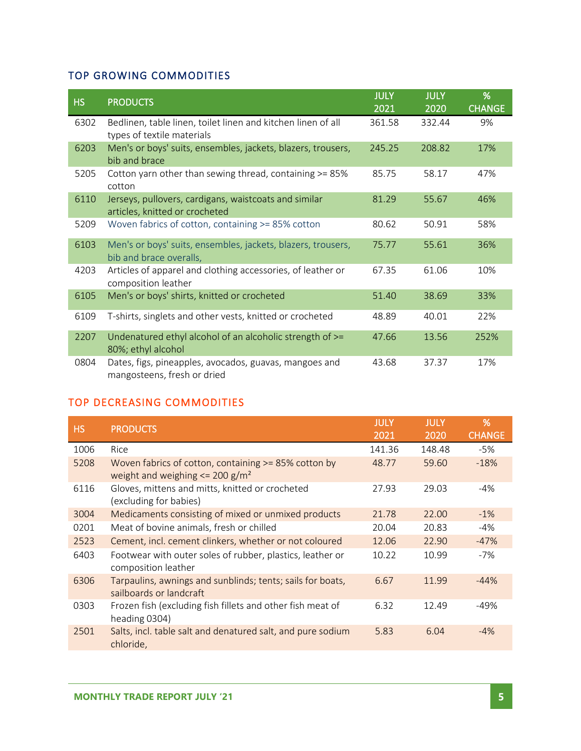### TOP GROWING COMMODITIES

| <b>HS</b> | <b>PRODUCTS</b>                                                                            | <b>JULY</b><br>2021 | <b>JULY</b><br>2020 | %<br><b>CHANGE</b> |
|-----------|--------------------------------------------------------------------------------------------|---------------------|---------------------|--------------------|
| 6302      | Bedlinen, table linen, toilet linen and kitchen linen of all<br>types of textile materials | 361.58              | 332.44              | 9%                 |
| 6203      | Men's or boys' suits, ensembles, jackets, blazers, trousers,<br>bib and brace              | 245.25              | 208.82              | 17%                |
| 5205      | Cotton yarn other than sewing thread, containing >= 85%<br>cotton                          | 85.75               | 58.17               | 47%                |
| 6110      | Jerseys, pullovers, cardigans, waistcoats and similar<br>articles, knitted or crocheted    | 81.29               | 55.67               | 46%                |
| 5209      | Woven fabrics of cotton, containing >= 85% cotton                                          | 80.62               | 50.91               | 58%                |
| 6103      | Men's or boys' suits, ensembles, jackets, blazers, trousers,<br>bib and brace overalls,    | 75.77               | 55.61               | 36%                |
| 4203      | Articles of apparel and clothing accessories, of leather or<br>composition leather         | 67.35               | 61.06               | 10%                |
| 6105      | Men's or boys' shirts, knitted or crocheted                                                | 51.40               | 38.69               | 33%                |
| 6109      | T-shirts, singlets and other vests, knitted or crocheted                                   | 48.89               | 40.01               | 22%                |
| 2207      | Undenatured ethyl alcohol of an alcoholic strength of >=<br>80%; ethyl alcohol             | 47.66               | 13.56               | 252%               |
| 0804      | Dates, figs, pineapples, avocados, guavas, mangoes and<br>mangosteens, fresh or dried      | 43.68               | 37.37               | 17%                |

#### TOP DECREASING COMMODITIES

| <b>HS</b> | <b>PRODUCTS</b>                                                                                               | <b>JULY</b> | <b>JULY</b> | %             |
|-----------|---------------------------------------------------------------------------------------------------------------|-------------|-------------|---------------|
|           |                                                                                                               | 2021        | 2020        | <b>CHANGE</b> |
| 1006      | Rice                                                                                                          | 141.36      | 148.48      | -5%           |
| 5208      | Woven fabrics of cotton, containing >= 85% cotton by<br>weight and weighing $\epsilon$ = 200 g/m <sup>2</sup> | 48.77       | 59.60       | $-18%$        |
| 6116      | Gloves, mittens and mitts, knitted or crocheted<br>(excluding for babies)                                     | 27.93       | 29.03       | $-4%$         |
| 3004      | Medicaments consisting of mixed or unmixed products                                                           | 21.78       | 22.00       | $-1\%$        |
| 0201      | Meat of bovine animals, fresh or chilled                                                                      | 20.04       | 20.83       | -4%           |
| 2523      | Cement, incl. cement clinkers, whether or not coloured                                                        | 12.06       | 22.90       | $-47%$        |
| 6403      | Footwear with outer soles of rubber, plastics, leather or<br>composition leather                              | 10.22       | 10.99       | $-7%$         |
| 6306      | Tarpaulins, awnings and sunblinds; tents; sails for boats,<br>sailboards or landcraft                         | 6.67        | 11.99       | $-44%$        |
| 0303      | Frozen fish (excluding fish fillets and other fish meat of<br>heading 0304)                                   | 6.32        | 12.49       | -49%          |
| 2501      | Salts, incl. table salt and denatured salt, and pure sodium<br>chloride,                                      | 5.83        | 6.04        | $-4%$         |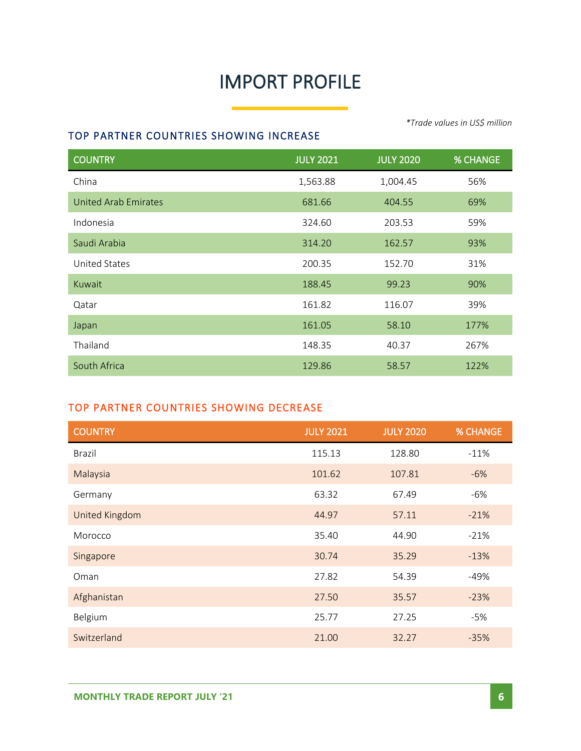# IMPORT PROFILE

#### TOP PARTNER COUNTRIES SHOWING INCREASE

COUNTRY JULY 2021 JULY 2020 % CHANGE China 2004.45 1,563.88 1,004.45 56% United Arab Emirates 681.66 404.55 69% Indonesia 324.60 203.53 59% Saudi Arabia 314.20 162.57 93% United States 200.35 152.70 31% Kuwait 188.45 99.23 90% Qatar 161.82 116.07 39% Japan 161.05 58.10 177% Thailand 148.35 40.37 267% South Africa 129.86 58.57 122%

#### TOP PARTNER COUNTRIES SHOWING DECREASE

| <b>COUNTRY</b> | <b>JULY 2021</b> | <b>JULY 2020</b> | <b>% CHANGE</b> |
|----------------|------------------|------------------|-----------------|
| <b>Brazil</b>  | 115.13           | 128.80           | $-11%$          |
| Malaysia       | 101.62           | 107.81           | $-6%$           |
| Germany        | 63.32            | 67.49            | $-6%$           |
| United Kingdom | 44.97            | 57.11            | $-21%$          |
| Morocco        | 35.40            | 44.90            | $-21%$          |
| Singapore      | 30.74            | 35.29            | $-13%$          |
| Oman           | 27.82            | 54.39            | $-49%$          |
| Afghanistan    | 27.50            | 35.57            | $-23%$          |
| Belgium        | 25.77            | 27.25            | $-5%$           |
| Switzerland    | 21.00            | 32.27            | $-35%$          |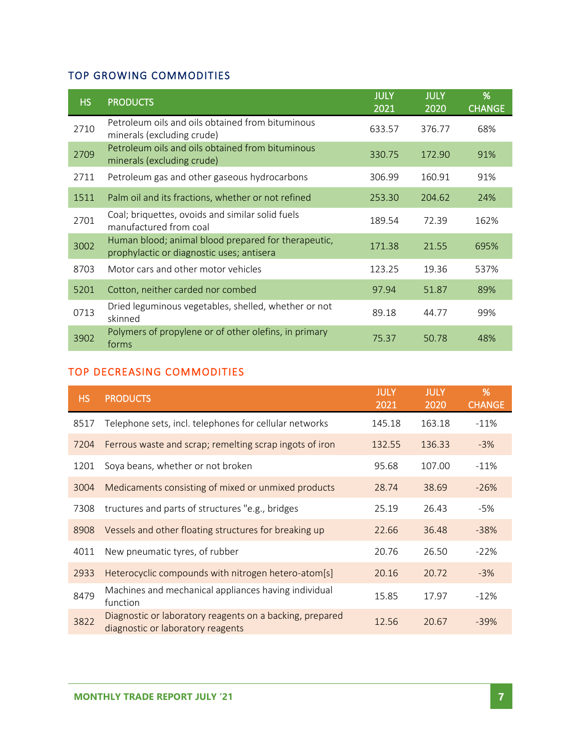### TOP GROWING COMMODITIES

| HS.  | <b>PRODUCTS</b>                                                                                  | <b>JULY</b><br>2021 | <b>JULY</b><br>2020 | %<br><b>CHANGE</b> |
|------|--------------------------------------------------------------------------------------------------|---------------------|---------------------|--------------------|
| 2710 | Petroleum oils and oils obtained from bituminous<br>minerals (excluding crude)                   | 633.57              | 376.77              | 68%                |
| 2709 | Petroleum oils and oils obtained from bituminous<br>minerals (excluding crude)                   | 330.75              | 172.90              | 91%                |
| 2711 | Petroleum gas and other gaseous hydrocarbons                                                     | 306.99              | 160.91              | 91%                |
| 1511 | Palm oil and its fractions, whether or not refined                                               | 253.30              | 204.62              | 24%                |
| 2701 | Coal; briquettes, ovoids and similar solid fuels<br>manufactured from coal                       | 189.54              | 72.39               | 162%               |
| 3002 | Human blood; animal blood prepared for therapeutic,<br>prophylactic or diagnostic uses; antisera | 171.38              | 21.55               | 695%               |
| 8703 | Motor cars and other motor vehicles                                                              | 123.25              | 19.36               | 537%               |
| 5201 | Cotton, neither carded nor combed                                                                | 97.94               | 51.87               | 89%                |
| 0713 | Dried leguminous vegetables, shelled, whether or not<br>skinned                                  | 89.18               | 44.77               | 99%                |
| 3902 | Polymers of propylene or of other olefins, in primary<br>forms                                   | 75.37               | 50.78               | 48%                |

### TOP DECREASING COMMODITIES

| HS.  | <b>PRODUCTS</b>                                                                               | <b>JULY</b><br>2021 | <b>JULY</b><br>2020 | %<br><b>CHANGE</b> |
|------|-----------------------------------------------------------------------------------------------|---------------------|---------------------|--------------------|
| 8517 | Telephone sets, incl. telephones for cellular networks                                        | 145.18              | 163.18              | $-11%$             |
| 7204 | Ferrous waste and scrap; remelting scrap ingots of iron                                       | 132.55              | 136.33              | $-3%$              |
| 1201 | Soya beans, whether or not broken                                                             | 95.68               | 107.00              | $-11%$             |
| 3004 | Medicaments consisting of mixed or unmixed products                                           | 28.74               | 38.69               | $-26%$             |
| 7308 | tructures and parts of structures "e.g., bridges                                              | 25.19               | 26.43               | -5%                |
| 8908 | Vessels and other floating structures for breaking up                                         | 22.66               | 36.48               | $-38%$             |
| 4011 | New pneumatic tyres, of rubber                                                                | 20.76               | 26.50               | $-22%$             |
| 2933 | Heterocyclic compounds with nitrogen hetero-atom[s]                                           | 20.16               | 20.72               | $-3%$              |
| 8479 | Machines and mechanical appliances having individual<br>function                              | 15.85               | 17.97               | $-12%$             |
| 3822 | Diagnostic or laboratory reagents on a backing, prepared<br>diagnostic or laboratory reagents | 12.56               | 20.67               | $-39%$             |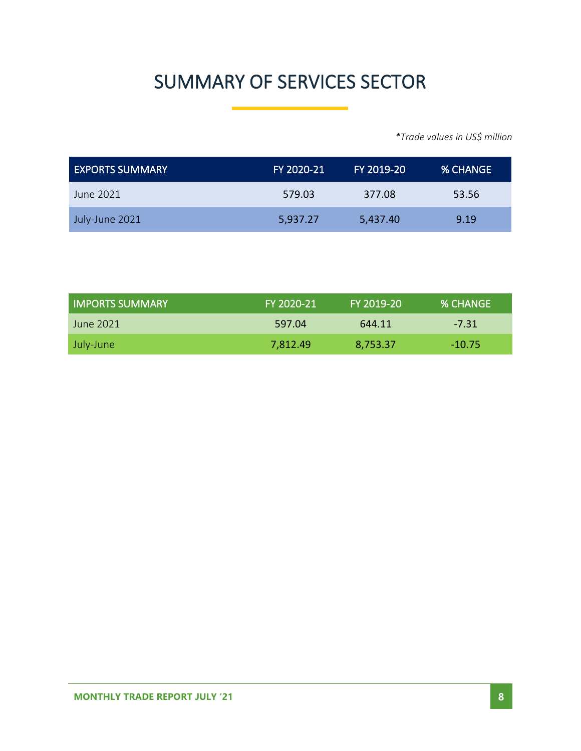# SUMMARY OF SERVICES SECTOR

| EXPORTS SUMMARY | FY 2020-21 | FY 2019-20 | I% CHANGE ' |
|-----------------|------------|------------|-------------|
| June 2021       | 579.03     | 377.08     | 53.56       |
| July-June 2021  | 5,937.27   | 5,437.40   | 9.19        |

| LIMPORTS SUMMARY | FY 2020-21 | FY 2019-20 | % CHANGE |
|------------------|------------|------------|----------|
| June 2021.       | 597.04     | 644.11     | $-7.31$  |
| July-June        | 7,812.49   | 8,753.37   | $-10.75$ |